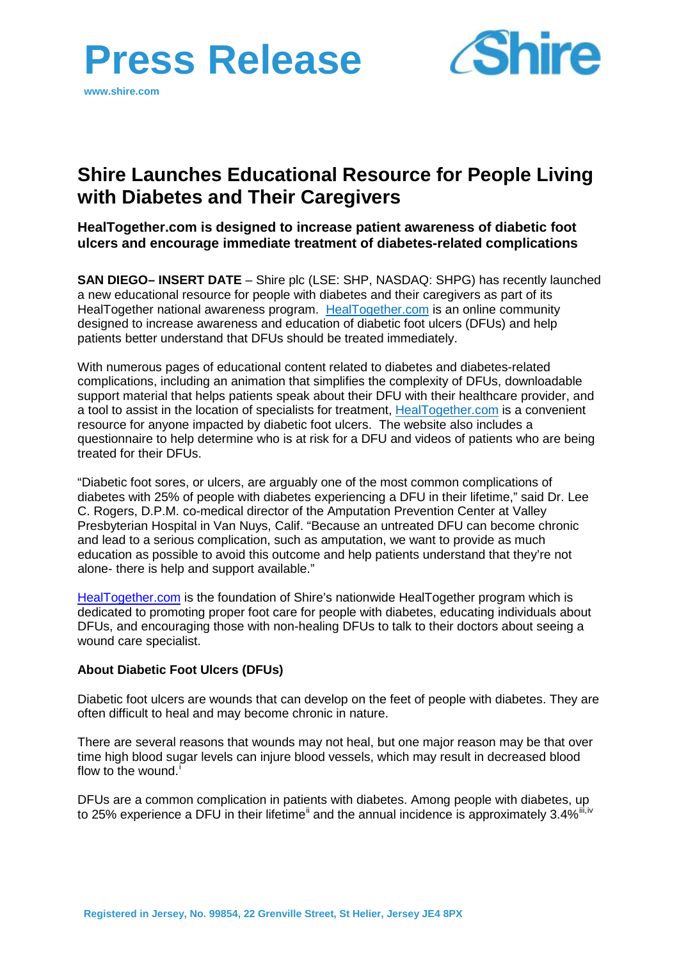



# **Shire Launches Educational Resource for People Living with Diabetes and Their Caregivers**

**HealTogether.com is designed to increase patient awareness of diabetic foot ulcers and encourage immediate treatment of diabetes-related complications** 

**SAN DIEGO– INSERT DATE** – Shire plc (LSE: SHP, NASDAQ: SHPG) has recently launched a new educational resource for people with diabetes and their caregivers as part of its HealTogether national awareness program. [HealTogether.com](http://www.healtogether.com/) is an online community designed to increase awareness and education of diabetic foot ulcers (DFUs) and help patients better understand that DFUs should be treated immediately.

With numerous pages of educational content related to diabetes and diabetes-related complications, including an animation that simplifies the complexity of DFUs, downloadable support material that helps patients speak about their DFU with their healthcare provider, and a tool to assist in the location of specialists for treatment, [HealTogether.com](http://www.healtogether.com/) is a convenient resource for anyone impacted by diabetic foot ulcers. The website also includes a questionnaire to help determine who is at risk for a DFU and videos of patients who are being treated for their DFUs.

"Diabetic foot sores, or ulcers, are arguably one of the most common complications of diabetes with 25% of people with diabetes experiencing a DFU in their lifetime," said Dr. Lee C. Rogers, D.P.M. co-medical director of the Amputation Prevention Center at Valley Presbyterian Hospital in Van Nuys, Calif. "Because an untreated DFU can become chronic and lead to a serious complication, such as amputation, we want to provide as much education as possible to avoid this outcome and help patients understand that they're not alone- there is help and support available."

[HealTogether.com](http://www.healtogether.com/references/) is the foundation of Shire's nationwide HealTogether program which is dedicated to promoting proper foot care for people with diabetes, educating individuals about DFUs, and encouraging those with non-healing DFUs to talk to their doctors about seeing a wound care specialist.

### **About Diabetic Foot Ulcers (DFUs)**

Diabetic foot ulcers are wounds that can develop on the feet of people with diabetes. They are often difficult to heal and may become chronic in nature.

There are several reasons that wounds may not heal, but one major reason may be that over time high blood sugar levels can injure blood vessels, which may result in decreased blood flow to the wound.<sup> $\ddot{\phantom{a}}$ </sup>

DFUs are a common complication in patients with diabetes. Among people with diabetes, up to 25% experience a DFU in their lifetime<sup>[ii](#page-2-1)</sup> and the annual incidence is approximately 3.4%<sup>[iii,](#page-2-2)[iv](#page-2-3)</sup>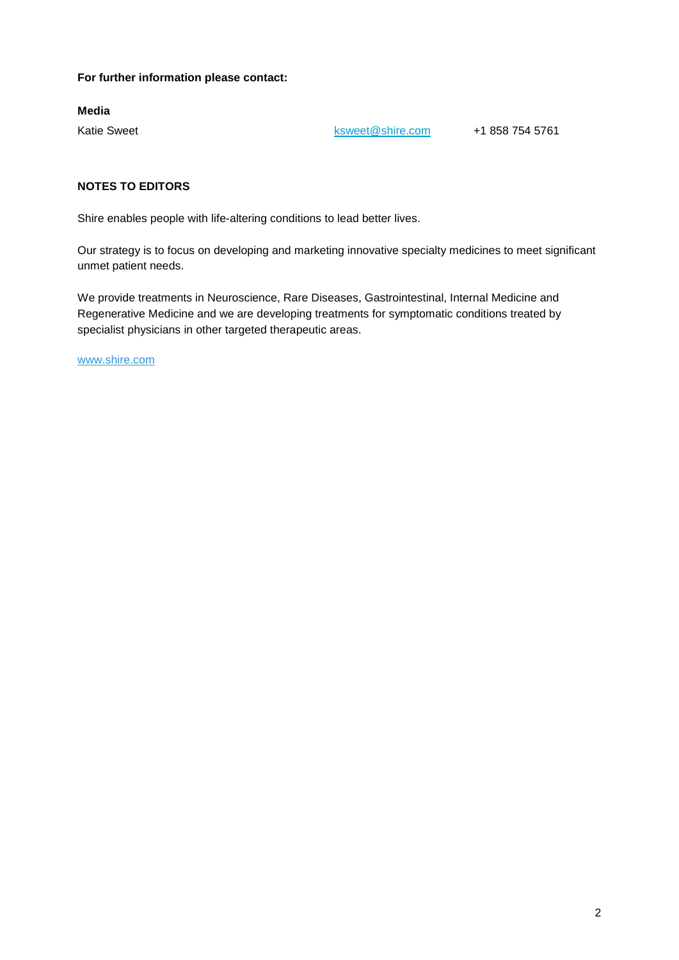#### **For further information please contact:**

#### **Media**

Katie Sweet Katie Sweet Katie Sweet Come and Ksweet Come and the Sweet Assessment Come and the Sweet Come and the Sweet Come and the Sweet Come and the Sweet Come and the Sweet Come and the Sweet Come and the Sweet Come an

## **NOTES TO EDITORS**

Shire enables people with life-altering conditions to lead better lives.

Our strategy is to focus on developing and marketing innovative specialty medicines to meet significant unmet patient needs.

We provide treatments in Neuroscience, Rare Diseases, Gastrointestinal, Internal Medicine and Regenerative Medicine and we are developing treatments for symptomatic conditions treated by specialist physicians in other targeted therapeutic areas.

[www.shire.com](http://www.shire.com/)